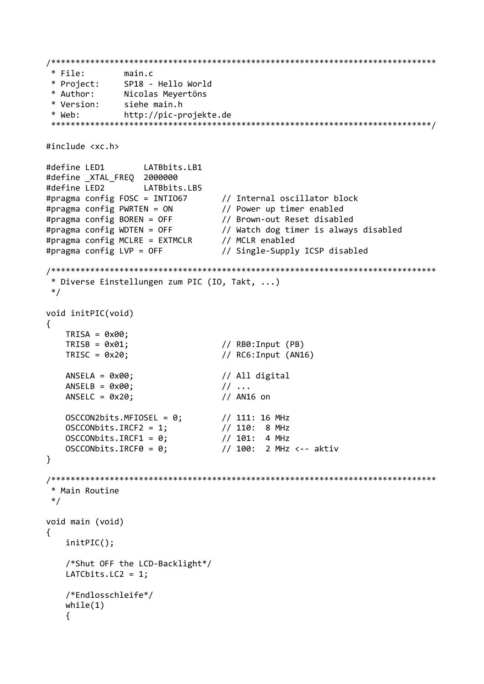```
* File:
            main.c* Project:
            SP18 - Hello World
           Nicolas Mevertöns
* Author:
          siehe main.h
* Version:
* Web:
           http://pic-projekte.de
#include <xc.h>
#define LED1
               LATBbits.LB1
#define XTAL FREQ 2000000
#define LED2
               LATBbits.LB5
#pragma config FOSC = INTIO67
                            // Internal oscillator block
                            // Power up timer enabled
#pragma config PWRTEN = ON
                           // Brown-out Reset disabled
#pragma config BOREN = OFF
#pragma config WDTEN = OFF
                           // Watch dog timer is always disabled
\#pragma config MCLRE = EXTMCLR
                           // MCLR enabled
#pragma config LVP = OFF// Single-Supply ICSP disabled
* Diverse Einstellungen zum PIC (IO, Takt, ...)
*/void initPIC(void)
\left\{ \right.TRISA = 0x00:
   TRISB = 0x01:
                            // RB0: Input (PB)
   TRISC = 0x20;// RC6: Input (AN16)
   ANSELA = 0x00;
                            // All digital
                            11...ANSELB = 0x00;// AN16 on
   ANSELC = 0x20;OSCCON2bits.MFIOSEL = 0:// 111: 16 MHz
   OSCCONbits.IRCF2 = 1;// 110: 8 MHz
   OSCCONbits. \text{IRCF1} = 0;// 101: 4 MHz
   OSCCONbits. IRCF<math>\theta = \theta</math>;// 100: 2 MHz <-- aktiv
\mathcal{F}* Main Routine
*/void main (void)
₹
   initPIC();
   /*Shut OFF the LCD-Backlight*/
   LATCbits.LC2 = 1:
   /*Endlosschleife*/
   while(1)\{
```